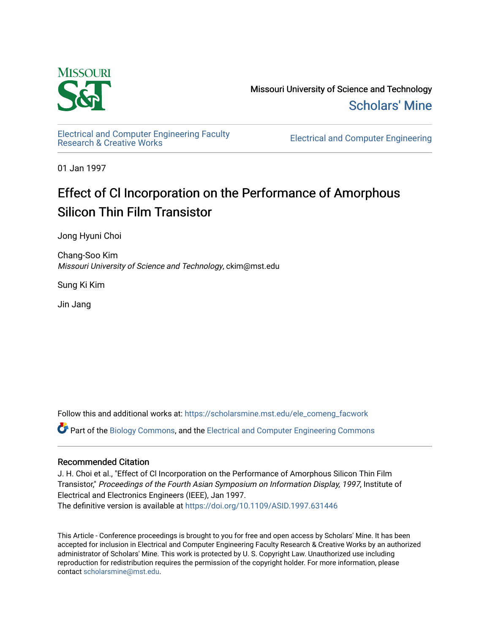

Missouri University of Science and Technology [Scholars' Mine](https://scholarsmine.mst.edu/) 

[Electrical and Computer Engineering Faculty](https://scholarsmine.mst.edu/ele_comeng_facwork)

**Electrical and Computer Engineering** 

01 Jan 1997

# Effect of Cl Incorporation on the Performance of Amorphous Silicon Thin Film Transistor

Jong Hyuni Choi

Chang-Soo Kim Missouri University of Science and Technology, ckim@mst.edu

Sung Ki Kim

Jin Jang

Follow this and additional works at: [https://scholarsmine.mst.edu/ele\\_comeng\\_facwork](https://scholarsmine.mst.edu/ele_comeng_facwork?utm_source=scholarsmine.mst.edu%2Fele_comeng_facwork%2F1572&utm_medium=PDF&utm_campaign=PDFCoverPages)

Part of the [Biology Commons,](http://network.bepress.com/hgg/discipline/41?utm_source=scholarsmine.mst.edu%2Fele_comeng_facwork%2F1572&utm_medium=PDF&utm_campaign=PDFCoverPages) and the [Electrical and Computer Engineering Commons](http://network.bepress.com/hgg/discipline/266?utm_source=scholarsmine.mst.edu%2Fele_comeng_facwork%2F1572&utm_medium=PDF&utm_campaign=PDFCoverPages)

## Recommended Citation

J. H. Choi et al., "Effect of Cl Incorporation on the Performance of Amorphous Silicon Thin Film Transistor," Proceedings of the Fourth Asian Symposium on Information Display, 1997, Institute of Electrical and Electronics Engineers (IEEE), Jan 1997.

The definitive version is available at <https://doi.org/10.1109/ASID.1997.631446>

This Article - Conference proceedings is brought to you for free and open access by Scholars' Mine. It has been accepted for inclusion in Electrical and Computer Engineering Faculty Research & Creative Works by an authorized administrator of Scholars' Mine. This work is protected by U. S. Copyright Law. Unauthorized use including reproduction for redistribution requires the permission of the copyright holder. For more information, please contact [scholarsmine@mst.edu](mailto:scholarsmine@mst.edu).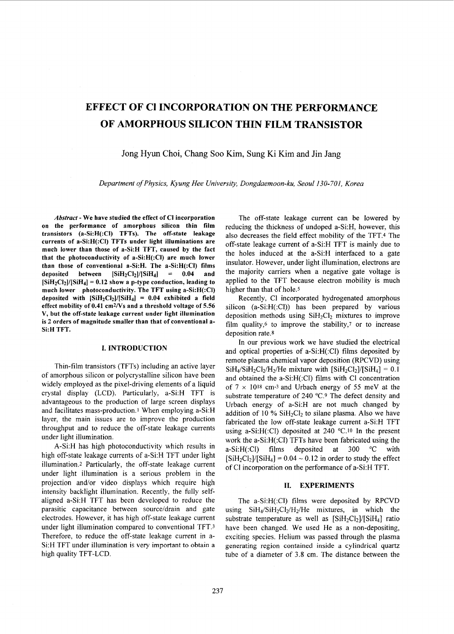# **EFFECT OF C1 INCORPORATION ON THE PERFORMANCE OF AMORPHOUS SILICON THIN FILM TRANSISTOR**

Jong Hyun Choi, Chang So0 Kim, Sung Ki Kim and Jin Jang

*Department of Physics, Kyung Hee University, Dongdaemoon-ku, Seoul 130-701, Korea* 

*Abstract* - **We have studied the effect of CI incorporation**  on the performance of amorphous silicon thin film **transistors (a-Si:H(:CI) TFTs). The off-state leakage currents of a-Si:H(:CI) TFTs under light illuminations are much lower than those of a-Si:H TFT, caused by the fact that the photoconductivity of a-Si:H(:CI) are much lower than those of conventional a-Si:H. The a-Si:H(:CI) films deposited between [SiHzC12]/[SiH4]** = **0.04 and**   $[SiH_2Cl_2]/[SiH_4] = 0.12$  show a p-type conduction, leading to much lower photoconductivity. The TFT using a-Si:H(:CI) deposited with  $[\text{SiH}_2\text{Cl}_2]/[\text{SiH}_4] = 0.04$  exhibited a field **effect mobility of 0.41 cm2Ns and a threshold voltage of 5.56 V, but the off-state leakage current under light illumination**  is 2 orders of magnitude smaller than that of conventional a-**Si:H TFT.** 

#### **1. INTRODUCTION**

Thin-film transistors (TFTs) including an active layer of amorphous silicon or polycrystalline silicon have been widely employed as the pixel-driving elements of a liquid crystal display (LCD). Particularly, a-Si:H TFT is advantageous to the production of large screen displays and facilitates mass-production.1 When employing a-Si:H layer, the main issues are to improve the production throughput and to reduce the off-state leakage currents under light illumination.

A-Si:H has high photoconductivity which results in high off-state leakage currents of a-Si:H TFT under light illumination.<sup>2</sup> Particularly, the off-state leakage current under light illumination is a serious problem in the projection and/or video displays which require high intensity backlight illumination. Recently, the fully selfaligned a-Si:H TFT has been developed to reduce the parasitic capacitance between source/drain and gate electrodes. However, it has high off-state leakage current under light illumination compared to conventional TFT.3 Therefore, to reduce the off-state leakage current in a-Si:H TFT under illumination is very important to obtain a high quality TFT-LCD.

The off-state leakage current can be lowered by reducing the thickness of undoped a-Si:H, however, this also decreases the field effect mobility of the TFT.4 The off-state leakage current of a-Si:H TFT is mainly due to the holes induced at the a-Si:H interfaced to a gate insulator. However, under light illumination, electrons are the majority carriers when a negative gate voltage is applied to the TFT because electron mobility is much higher than that of hole.<sup>5</sup>

Recently, C1 incorporated hydrogenated amorphous silicon  $(a-Si:H(CI))$  has been prepared by various deposition methods using  $SiH<sub>2</sub>Cl<sub>2</sub>$  mixtures to improve film quality,<sup>6</sup> to improve the stability,<sup>7</sup> or to increase deposition rate.8

In our previous work we have studied the electrical and optical properties of a-Si:H(:Cl) films deposited by remote plasma chemical vapor deposition (RPCVD) using  $SiH_4/SiH_2Cl_2/H_2/He$  mixture with  $[SiH_2Cl_2]/[SiH_4] = 0.1$ and obtained the a-Si:H(:Cl) films with C1 concentration of  $7 \times 10^{18}$  cm<sup>-3</sup> and Urbach energy of 55 meV at the substrate temperature of 240 °C.<sup>9</sup> The defect density and Urbach energy of a-Si:H are not much changed by addition of  $10\%$  SiH<sub>2</sub>Cl<sub>2</sub> to silane plasma. Also we have fabricated the low off-state leakage current a-Si:H TFT using a-Si:H(:Cl) deposited at 240 °C.<sup>10</sup> In the present work the a-Si:H(:CI) TFTs have been fabricated using the a-Si: $H(CI)$  films deposited at 300 °C with  $[SiH_2Cl_2]/[SiH_4] = 0.04 \sim 0.12$  in order to study the effect of C1 incorporation on the performance of a-Si:H TFT.

### **11. EXPERIMENTS**

The a-Si:H(:Cl) films were deposited by RPCVD using  $SiH<sub>4</sub>/SiH<sub>2</sub>Cl<sub>2</sub>/H<sub>2</sub>/He$  mixtures, in which the substrate temperature as well as  $[SiH_2Cl_2]/[SiH_4]$  ratio have been changed. We used He as a non-depositing, exciting species. Helium was passed through the plasma generating region contained inside a cylindrical quartz tube of a diameter of 3.8 cm. The distance between the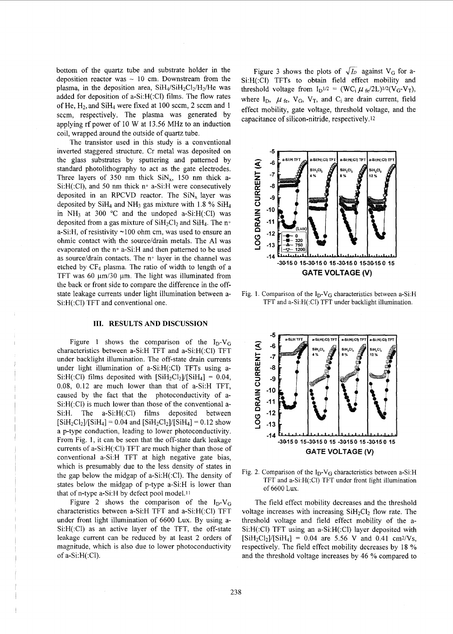<span id="page-2-0"></span>bottom of the quartz tube and substrate holder in the deposition reactor was  $\sim$  10 cm. Downstream from the plasma, in the deposition area,  $SiH<sub>4</sub>/SiH<sub>2</sub>Cl<sub>2</sub>/H<sub>2</sub>/He$  was added for deposition of a-Si:H(:Cl) films. The flow rates of He,  $H_2$ , and Si $H_4$  were fixed at 100 sccm, 2 sccm and 1 sccm, respectively. The plasma was generated by applying rf power of 10 W at 13.56 MHz to **an** induction coil, wrapped around the outside of quartz tube.

The transistor used in this study is a conventional inverted staggered structure. Cr metal was deposited on the glass substrates by sputtering and patterned by standard photolithography to act as the gate electrodes. Three layers of 350 nm thick SiN<sub>x</sub>, 150 nm thick a-Si:H(:Cl), and 50 nm thick n+ a-Si:H were consecutively deposited in an RPCVD reactor. The  $\text{SiN}_x$  layer was deposited by  $SiH_4$  and  $NH_3$  gas mixture with 1.8 %  $SiH_4$ in NH<sub>3</sub> at 300 °C and the undoped a-Si:H(:Cl) was deposited from a gas mixture of  $SiH<sub>2</sub>Cl<sub>2</sub>$  and  $SiH<sub>4</sub>$ . The n+ a-Si:H, of resistivity  $\sim$ 100 ohm cm, was used to ensure an ohmic contact with the source/drain metals. The A1 was evaporated on the n+ a-Si:H and then patterned to be used as source/drain contacts. The  $n+$  layer in the channel was etched by  $CF_4$  plasma. The ratio of width to length of a TFT was 60  $\mu$ m/30  $\mu$ m. The light was illuminated from the back or front side to compare the difference in the offstate leakage currents under light illumination between a-Si:H(:CI) TFT and conventional one.

#### **111. RESULTS AND DISCUSSION**

Figure 1 shows the comparison of the  $I_D-V_G$ characteristics between a-Si:H TFT and a-Si:H(:Cl) TFT under backlight illumination. The off-state drain currents under light illumination of a-Si:H(:Cl) TFTs using a-Si:H(:Cl) films deposited with  $[SiH_2Cl_2]/[SiH_4] = 0.04$ , 0.08, 0.12 are much lower than that of a-Si:H TFT, caused by the fact that the photoconductivity of a-Si:H(:Cl) is much lower than those of the conventional a-Si:H. The a-Si:H(:Cl) films deposited between  $[SiH_2Cl_2]/[SiH_4] = 0.04$  and  $[SiH_2Cl_2]/[SiH_4] = 0.12$  show a p-type conduction, leading to lower photoconductivity. From Fig. 1, it can be seen that the off-state dark leakage currents of a-Si:H(:Cl) TFT are much higher than those of conventional a-Si:H TFT at high negative gate bias, which is presumably due to the less density of states in the gap below the midgap of a-Si:H(:CI). The density of states below the midgap of p-type a-Si:H is lower than that of n-type a-Si: H by defect pool model.<sup>11</sup>

Figure 2 shows the comparison of the  $I_D-V_G$ characteristics between a-Si:H TFT and a-Si:H(:Cl) TFT under front light illumination of 6600 Lux. By using a-Si:H(:Cl) as an active layer of the TFT, the off-state leakage current can be reduced by at least 2 orders of magnitude, which is also due to lower photoconductivity of  $a-Si:H(CI)$ .

Figure 3 shows the plots of  $\sqrt{I_D}$  against V<sub>G</sub> for a-Si:H(:Cl) TFTs to obtain field effect mobility and threshold voltage from  $I_D^{1/2} = (WC_i \mu_{fe}/2L)^{1/2}(V_G - V_T)$ , where  $I_D$ ,  $\mu$ <sub>fe</sub>,  $V_G$ ,  $V_T$ , and  $C_i$  are drain current, field effect mobility, gate voltage, threshold voltage, and the capacitance of silicon-nitride, respectively.12



Fig. 1. Comparison of the  $I_D-V_G$  characteristics between a-Si:H TFT and a-Si:H(:Cl) TFT under backlight illumination.



Fig. 2. Comparison of the  $I_D-V_G$  characteristics between a-Si:H TFT and a-Si:H(:CI) TFT under front light illumination of 6600 Lux.

The field effect mobility decreases and the threshold voltage increases with increasing  $SiH<sub>2</sub>Cl<sub>2</sub>$  flow rate. The threshold voltage and field effect mobility of the a-Si:H(:CI) TFT using an a-Si:H(:Cl) layer deposited with  $[SiH_2Cl_2]/[SiH_4] = 0.04$  are 5.56 V and 0.41 cm<sup>2</sup>/Vs, respectively. The field effect mobility decreases by 18 % and the threshold voltage increases by 46 % compared to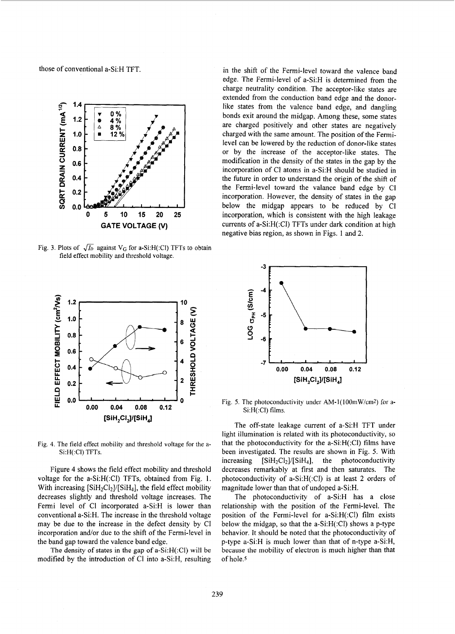those of conventional a-Si:H TFT.



[Fig.](#page-2-0) 3. Plots of  $\sqrt{h}$  against V<sub>G</sub> for a-Si:H(:Cl) TFTs to obtain field effect mobility and threshold voltage.



Fig. **4.** The field effect mobility and threshold voltage **for** the a-Si:H(:CI) TFTs.

Figure 4 shows the field effect mobility and threshold voltage for the a-Si:H(:Cl) TFTs, obtained from Fig. 1. With increasing  $[SiH_2Cl_2]/[SiH_4]$ , the field effect mobility decreases slightly and threshold voltage increases. The Fermi level of Cl incorporated a-Si:H is lower than conventional a-Si:H. The increase in the threshold voltage may be due to the increase in the defect density by CI incorporation and/or due to the shift of the Fermi-level in the band gap toward the valence band edge.

The density of states in the **gap** of a-Si:H(:Cl) will be modified by the introduction of C1 into a-Si:H, resulting

in the shift of the Fermi-level toward the valence band edge. The Fermi-level of a-Si:H is determined from the charge neutrality condition. The acceptor-like states are extended from the conduction band edge and the donorlike states from the valence band edge, and dangling bonds exit around the midgap. Among these, some states are charged positively and other states are negatively charged with the same amount. The position of the Fermilevel can be lowered by the reduction of donor-like states or by the increase of the acceptor-like states. The modification in the density of the states in the gap by the incorporation of C1 atoms in a-Si:H should be studied in the future in order to understand the origin of the shift of the Fermi-level toward the valance band edge by Cl incorporation. However, the density of states in the gap below the midgap appears to be reduced by C1 incorporation, which is consistent with the high leakage currents of a-Si:H(:Cl) TFTs under dark condition at high negative bias region, as shown in Figs. 1 and 2.



Si:H(:CI) films.

The off-state leakage current of a-Si:H TFT under light illumination is related with its photoconductivity, so that the photoconductivity for the a-Si:H(:Cl) films have been investigated. The results are shown in Fig. 5. With increasing  $[SiH_2Cl_2]/[SiH_4]$ , the photoconductivity decreases remarkably at first and then saturates. The photoconductivity of a-Si:H(:Cl) is at least **2** orders of magnitude lower than that of undoped a-Si:H.

The photoconductivity of a-Si:H has a close relationship with the position of the Fermi-level. The position of the Fermi-level for a-Si:H(:Cl) film exists below the midgap, so that the a-Si:H(:Cl) shows a p-type behavior. It should be noted that the photoconductivity of p-type a-Si:H is much lower than that of n-type a-Si:H, because the mobility of electron is much higher than that of hole.<sup>5</sup>